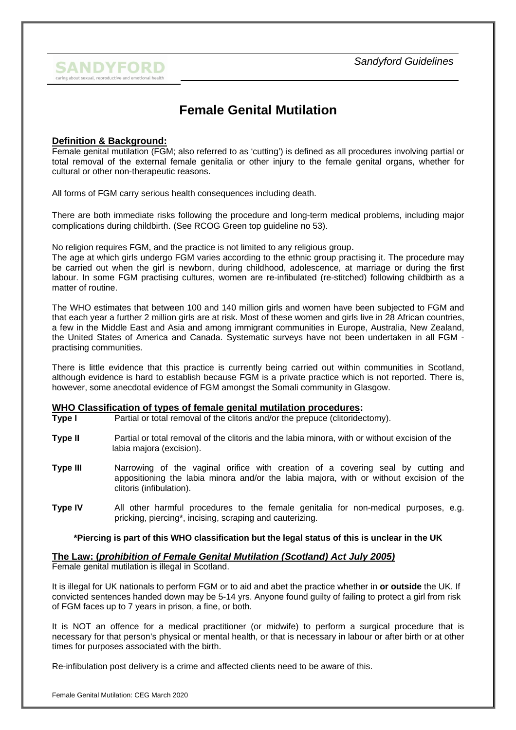

# **Female Genital Mutilation**

## **Definition & Background:**

Female genital mutilation (FGM; also referred to as 'cutting') is defined as all procedures involving partial or total removal of the external female genitalia or other injury to the female genital organs, whether for cultural or other non-therapeutic reasons.

All forms of FGM carry serious health consequences including death.

There are both immediate risks following the procedure and long-term medical problems, including major complications during childbirth. (See RCOG Green top guideline no 53).

No religion requires FGM, and the practice is not limited to any religious group.

The age at which girls undergo FGM varies according to the ethnic group practising it. The procedure may be carried out when the girl is newborn, during childhood, adolescence, at marriage or during the first labour. In some FGM practising cultures, women are re-infibulated (re-stitched) following childbirth as a matter of routine.

The WHO estimates that between 100 and 140 million girls and women have been subjected to FGM and that each year a further 2 million girls are at risk. Most of these women and girls live in 28 African countries, a few in the Middle East and Asia and among immigrant communities in Europe, Australia, New Zealand, the United States of America and Canada. Systematic surveys have not been undertaken in all FGM practising communities.

There is little evidence that this practice is currently being carried out within communities in Scotland, although evidence is hard to establish because FGM is a private practice which is not reported. There is, however, some anecdotal evidence of FGM amongst the Somali community in Glasgow.

### **WHO Classification of types of female genital mutilation procedures:**

- **Type I** Partial or total removal of the clitoris and/or the prepuce (clitoridectomy).
- **Type II** Partial or total removal of the clitoris and the labia minora, with or without excision of the labia majora (excision).
- **Type III** Narrowing of the vaginal orifice with creation of a covering seal by cutting and appositioning the labia minora and/or the labia majora, with or without excision of the clitoris (infibulation).
- **Type IV** All other harmful procedures to the female genitalia for non-medical purposes, e.g. pricking, piercing\*, incising, scraping and cauterizing.

#### **\*Piercing is part of this WHO classification but the legal status of this is unclear in the UK**

### **The Law: (***prohibition of Female Genital Mutilation (Scotland) Act July 2005)*

Female genital mutilation is illegal in Scotland.

It is illegal for UK nationals to perform FGM or to aid and abet the practice whether in **or outside** the UK. If convicted sentences handed down may be 5-14 yrs. Anyone found guilty of failing to protect a girl from risk of FGM faces up to 7 years in prison, a fine, or both.

It is NOT an offence for a medical practitioner (or midwife) to perform a surgical procedure that is necessary for that person's physical or mental health, or that is necessary in labour or after birth or at other times for purposes associated with the birth.

Re-infibulation post delivery is a crime and affected clients need to be aware of this.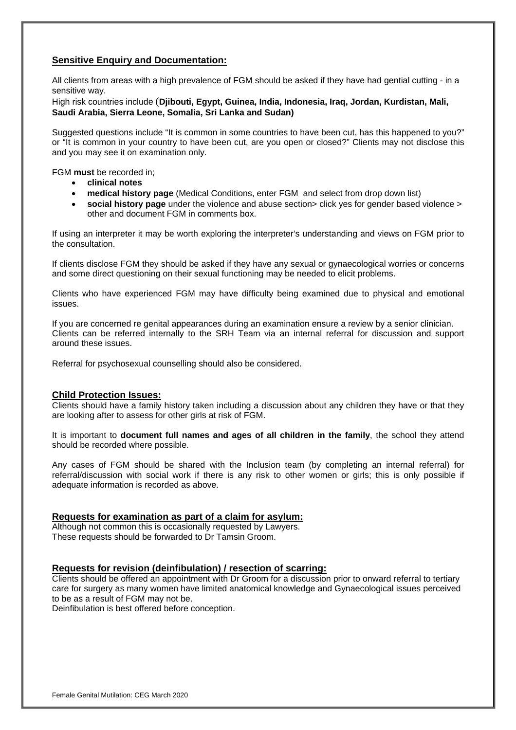## **Sensitive Enquiry and Documentation:**

All clients from areas with a high prevalence of FGM should be asked if they have had gential cutting - in a sensitive way.

High risk countries include (**Djibouti, Egypt, Guinea, India, Indonesia, Iraq, Jordan, Kurdistan, Mali, Saudi Arabia, Sierra Leone, Somalia, Sri Lanka and Sudan)** 

Suggested questions include "It is common in some countries to have been cut, has this happened to you?" or "It is common in your country to have been cut, are you open or closed?" Clients may not disclose this and you may see it on examination only.

FGM **must** be recorded in;

- **clinical notes**
- **medical history page** (Medical Conditions, enter FGM and select from drop down list)
- **social history page** under the violence and abuse section > click yes for gender based violence > other and document FGM in comments box.

If using an interpreter it may be worth exploring the interpreter's understanding and views on FGM prior to the consultation.

If clients disclose FGM they should be asked if they have any sexual or gynaecological worries or concerns and some direct questioning on their sexual functioning may be needed to elicit problems.

Clients who have experienced FGM may have difficulty being examined due to physical and emotional issues.

If you are concerned re genital appearances during an examination ensure a review by a senior clinician. Clients can be referred internally to the SRH Team via an internal referral for discussion and support around these issues.

Referral for psychosexual counselling should also be considered.

### **Child Protection Issues:**

Clients should have a family history taken including a discussion about any children they have or that they are looking after to assess for other girls at risk of FGM.

It is important to **document full names and ages of all children in the family**, the school they attend should be recorded where possible.

Any cases of FGM should be shared with the Inclusion team (by completing an internal referral) for referral/discussion with social work if there is any risk to other women or girls; this is only possible if adequate information is recorded as above.

### **Requests for examination as part of a claim for asylum:**

Although not common this is occasionally requested by Lawyers. These requests should be forwarded to Dr Tamsin Groom.

### **Requests for revision (deinfibulation) / resection of scarring:**

Clients should be offered an appointment with Dr Groom for a discussion prior to onward referral to tertiary care for surgery as many women have limited anatomical knowledge and Gynaecological issues perceived to be as a result of FGM may not be.

Deinfibulation is best offered before conception.